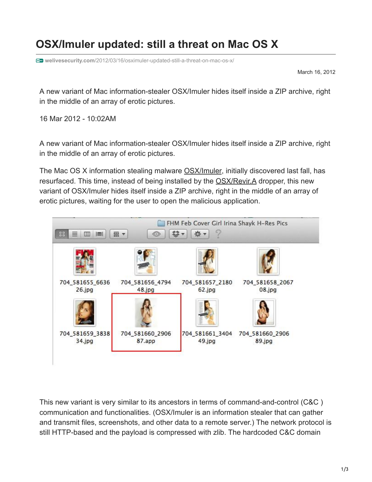## **OSX/Imuler updated: still a threat on Mac OS X**

**welivesecurity.com**[/2012/03/16/osximuler-updated-still-a-threat-on-mac-os-x/](https://www.welivesecurity.com/2012/03/16/osximuler-updated-still-a-threat-on-mac-os-x/)

March 16, 2012

A new variant of Mac information-stealer OSX/Imuler hides itself inside a ZIP archive, right in the middle of an array of erotic pictures.

16 Mar 2012 - 10:02AM

A new variant of Mac information-stealer OSX/Imuler hides itself inside a ZIP archive, right in the middle of an array of erotic pictures.

The Mac OS X information stealing malware [OSX/Imuler](https://www.welivesecurity.com/encyclopaedia/osx-imuler-a-backdoor), initially discovered last fall, has resurfaced. This time, instead of being installed by the [OSX/Revir.A](https://www.welivesecurity.com/encyclopaedia/osx-revir-a-trojan-dropper) dropper, this new variant of OSX/Imuler hides itself inside a ZIP archive, right in the middle of an array of erotic pictures, waiting for the user to open the malicious application.



This new variant is very similar to its ancestors in terms of command-and-control (C&C ) communication and functionalities. (OSX/Imuler is an information stealer that can gather and transmit files, screenshots, and other data to a remote server.) The network protocol is still HTTP-based and the payload is compressed with zlib. The hardcoded C&C domain